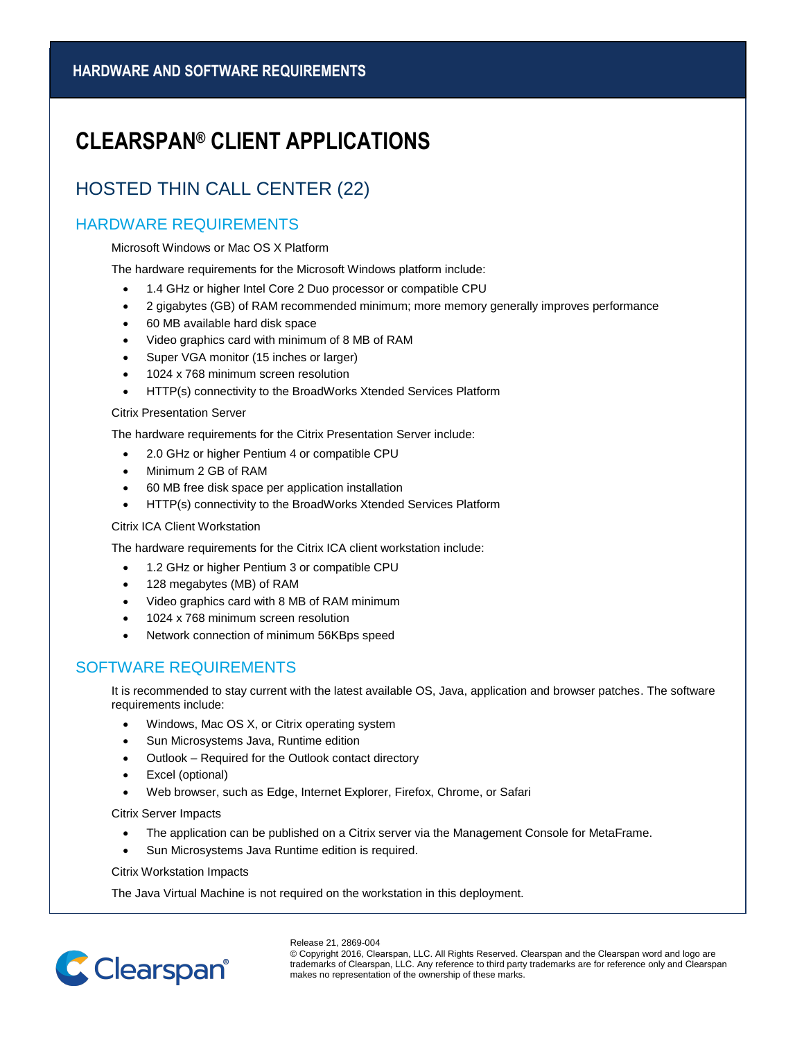# **CLEARSPAN® CLIENT APPLICATIONS**

## HOSTED THIN CALL CENTER (22)

### HARDWARE REQUIREMENTS

Microsoft Windows or Mac OS X Platform

The hardware requirements for the Microsoft Windows platform include:

- 1.4 GHz or higher Intel Core 2 Duo processor or compatible CPU
- 2 gigabytes (GB) of RAM recommended minimum; more memory generally improves performance
- 60 MB available hard disk space
- Video graphics card with minimum of 8 MB of RAM
- Super VGA monitor (15 inches or larger)
- 1024 x 768 minimum screen resolution
- HTTP(s) connectivity to the BroadWorks Xtended Services Platform

#### Citrix Presentation Server

The hardware requirements for the Citrix Presentation Server include:

- 2.0 GHz or higher Pentium 4 or compatible CPU
- Minimum 2 GB of RAM
- 60 MB free disk space per application installation
- HTTP(s) connectivity to the BroadWorks Xtended Services Platform

#### Citrix ICA Client Workstation

The hardware requirements for the Citrix ICA client workstation include:

- 1.2 GHz or higher Pentium 3 or compatible CPU
- 128 megabytes (MB) of RAM
- Video graphics card with 8 MB of RAM minimum
- 1024 x 768 minimum screen resolution
- Network connection of minimum 56KBps speed

### SOFTWARE REQUIREMENTS

It is recommended to stay current with the latest available OS, Java, application and browser patches. The software requirements include:

- Windows, Mac OS X, or Citrix operating system
- Sun Microsystems Java, Runtime edition
- Outlook Required for the Outlook contact directory
- Excel (optional)
- Web browser, such as Edge, Internet Explorer, Firefox, Chrome, or Safari

Citrix Server Impacts

- The application can be published on a Citrix server via the Management Console for MetaFrame.
- Sun Microsystems Java Runtime edition is required.

Citrix Workstation Impacts

The Java Virtual Machine is not required on the workstation in this deployment.



Release 21, 2869-004 © Copyright 2016, Clearspan, LLC. All Rights Reserved. Clearspan and the Clearspan word and logo are trademarks of Clearspan, LLC. Any reference to third party trademarks are for reference only and Clearspan makes no representation of the ownership of these marks.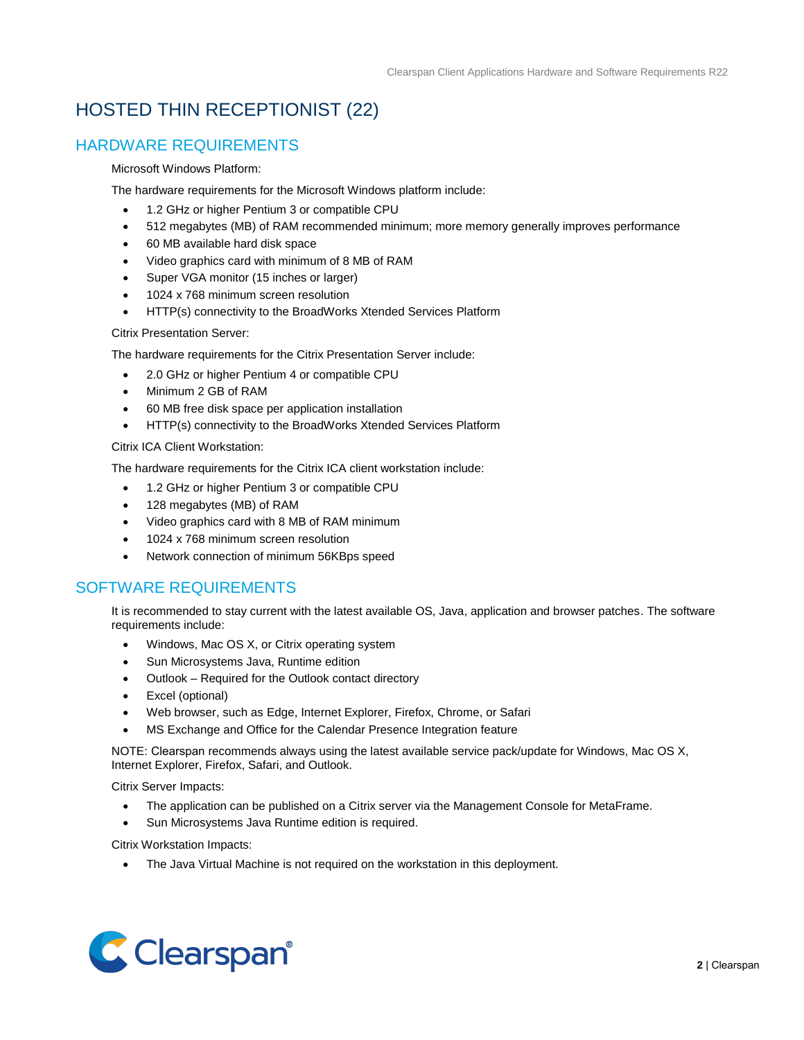## HOSTED THIN RECEPTIONIST (22)

### HARDWARE REQUIREMENTS

#### Microsoft Windows Platform:

The hardware requirements for the Microsoft Windows platform include:

- 1.2 GHz or higher Pentium 3 or compatible CPU
- 512 megabytes (MB) of RAM recommended minimum; more memory generally improves performance
- 60 MB available hard disk space
- Video graphics card with minimum of 8 MB of RAM
- Super VGA monitor (15 inches or larger)
- 1024 x 768 minimum screen resolution
- HTTP(s) connectivity to the BroadWorks Xtended Services Platform

#### Citrix Presentation Server:

The hardware requirements for the Citrix Presentation Server include:

- 2.0 GHz or higher Pentium 4 or compatible CPU
- Minimum 2 GB of RAM
- 60 MB free disk space per application installation
- HTTP(s) connectivity to the BroadWorks Xtended Services Platform

#### Citrix ICA Client Workstation:

The hardware requirements for the Citrix ICA client workstation include:

- 1.2 GHz or higher Pentium 3 or compatible CPU
- 128 megabytes (MB) of RAM
- Video graphics card with 8 MB of RAM minimum
- 1024 x 768 minimum screen resolution
- Network connection of minimum 56KBps speed

### SOFTWARE REQUIREMENTS

It is recommended to stay current with the latest available OS, Java, application and browser patches. The software requirements include:

- Windows, Mac OS X, or Citrix operating system
- Sun Microsystems Java, Runtime edition
- Outlook Required for the Outlook contact directory
- Excel (optional)
- Web browser, such as Edge, Internet Explorer, Firefox, Chrome, or Safari
- MS Exchange and Office for the Calendar Presence Integration feature

NOTE: Clearspan recommends always using the latest available service pack/update for Windows, Mac OS X, Internet Explorer, Firefox, Safari, and Outlook.

Citrix Server Impacts:

- The application can be published on a Citrix server via the Management Console for MetaFrame.
- Sun Microsystems Java Runtime edition is required.

Citrix Workstation Impacts:

• The Java Virtual Machine is not required on the workstation in this deployment.

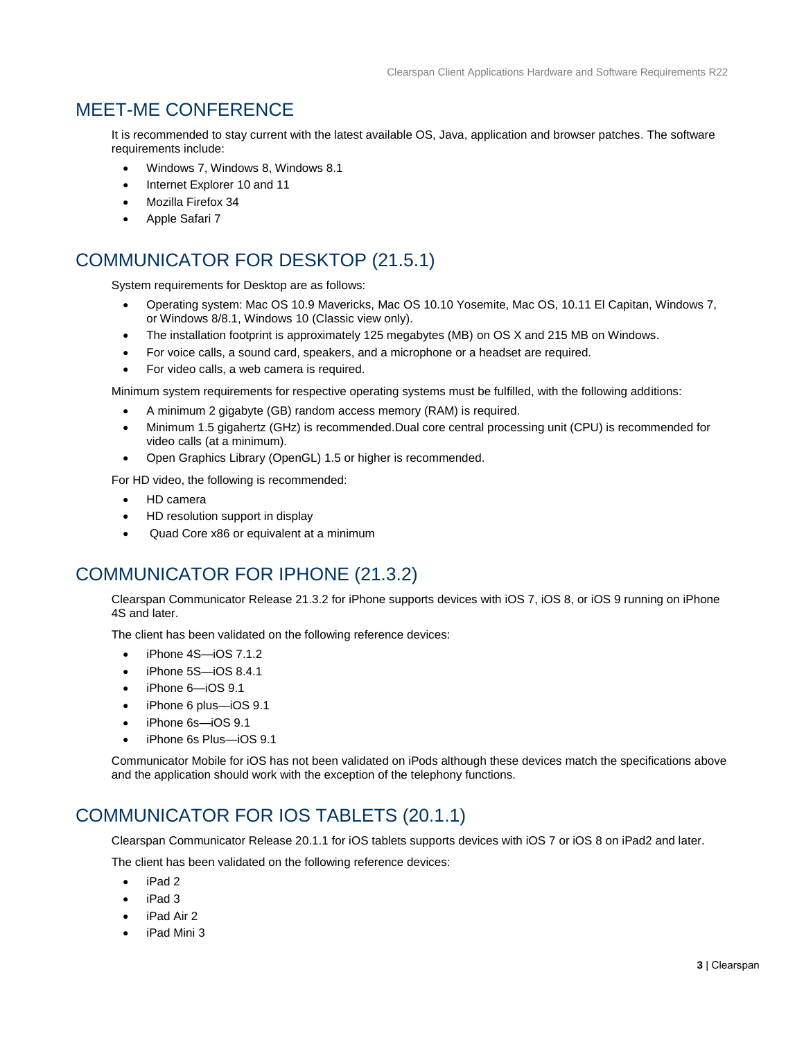## MEET-ME CONFERENCE

It is recommended to stay current with the latest available OS, Java, application and browser patches. The software requirements include:

- Windows 7, Windows 8, Windows 8.1
- Internet Explorer 10 and 11
- Mozilla Firefox 34
- Apple Safari 7

## COMMUNICATOR FOR DESKTOP (21.5.1)

System requirements for Desktop are as follows:

- Operating system: Mac OS 10.9 Mavericks, Mac OS 10.10 Yosemite, Mac OS, 10.11 El Capitan, Windows 7, or Windows 8/8.1, Windows 10 (Classic view only).
- The installation footprint is approximately 125 megabytes (MB) on OS X and 215 MB on Windows.
- For voice calls, a sound card, speakers, and a microphone or a headset are required.
- For video calls, a web camera is required.

Minimum system requirements for respective operating systems must be fulfilled, with the following additions:

- A minimum 2 gigabyte (GB) random access memory (RAM) is required.
- Minimum 1.5 gigahertz (GHz) is recommended.Dual core central processing unit (CPU) is recommended for video calls (at a minimum).
- Open Graphics Library (OpenGL) 1.5 or higher is recommended.

For HD video, the following is recommended:

- HD camera
- HD resolution support in display
- Quad Core x86 or equivalent at a minimum

### COMMUNICATOR FOR IPHONE (21.3.2)

Clearspan Communicator Release 21.3.2 for iPhone supports devices with iOS 7, iOS 8, or iOS 9 running on iPhone 4S and later.

The client has been validated on the following reference devices:

- iPhone 4S—iOS 7.1.2
- iPhone 5S—iOS 8.4.1
- iPhone 6—iOS 9.1
- iPhone 6 plus—iOS 9.1
- iPhone 6s—iOS 9.1
- iPhone 6s Plus—iOS 9.1

Communicator Mobile for iOS has not been validated on iPods although these devices match the specifications above and the application should work with the exception of the telephony functions.

### COMMUNICATOR FOR IOS TABLETS (20.1.1)

Clearspan Communicator Release 20.1.1 for iOS tablets supports devices with iOS 7 or iOS 8 on iPad2 and later.

The client has been validated on the following reference devices:

- iPad 2
- iPad 3
- iPad Air 2
- iPad Mini 3